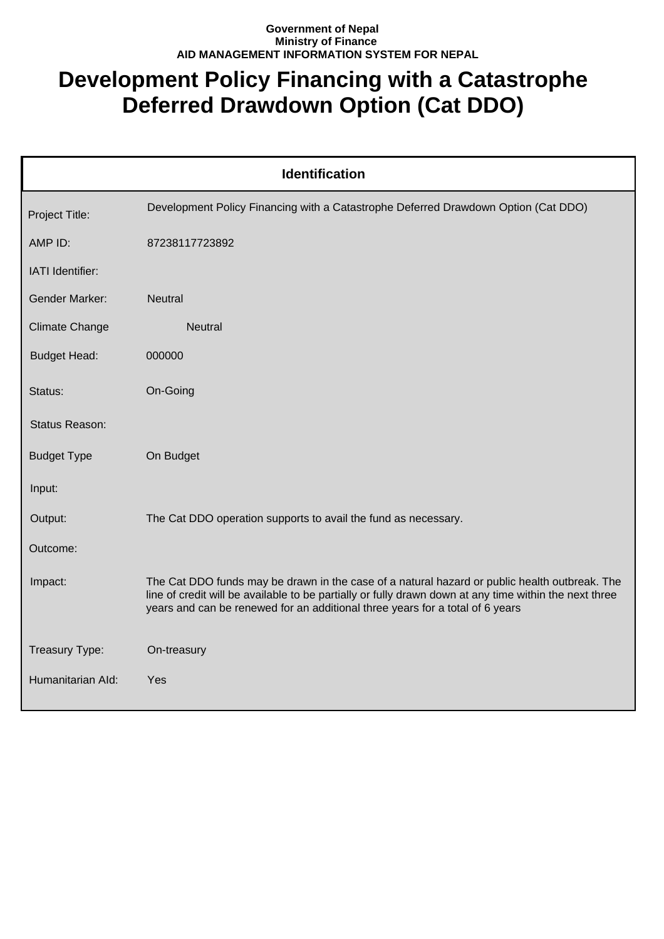## **Government of Nepal Ministry of Finance AID MANAGEMENT INFORMATION SYSTEM FOR NEPAL**

## **Development Policy Financing with a Catastrophe Deferred Drawdown Option (Cat DDO)**

| <b>Identification</b> |                                                                                                                                                                                                                                                                                          |  |
|-----------------------|------------------------------------------------------------------------------------------------------------------------------------------------------------------------------------------------------------------------------------------------------------------------------------------|--|
| Project Title:        | Development Policy Financing with a Catastrophe Deferred Drawdown Option (Cat DDO)                                                                                                                                                                                                       |  |
| AMP ID:               | 87238117723892                                                                                                                                                                                                                                                                           |  |
| IATI Identifier:      |                                                                                                                                                                                                                                                                                          |  |
| <b>Gender Marker:</b> | <b>Neutral</b>                                                                                                                                                                                                                                                                           |  |
| <b>Climate Change</b> | <b>Neutral</b>                                                                                                                                                                                                                                                                           |  |
| <b>Budget Head:</b>   | 000000                                                                                                                                                                                                                                                                                   |  |
| Status:               | On-Going                                                                                                                                                                                                                                                                                 |  |
| Status Reason:        |                                                                                                                                                                                                                                                                                          |  |
| <b>Budget Type</b>    | On Budget                                                                                                                                                                                                                                                                                |  |
| Input:                |                                                                                                                                                                                                                                                                                          |  |
| Output:               | The Cat DDO operation supports to avail the fund as necessary.                                                                                                                                                                                                                           |  |
| Outcome:              |                                                                                                                                                                                                                                                                                          |  |
| Impact:               | The Cat DDO funds may be drawn in the case of a natural hazard or public health outbreak. The<br>line of credit will be available to be partially or fully drawn down at any time within the next three<br>years and can be renewed for an additional three years for a total of 6 years |  |
| Treasury Type:        | On-treasury                                                                                                                                                                                                                                                                              |  |
| Humanitarian Ald:     | Yes                                                                                                                                                                                                                                                                                      |  |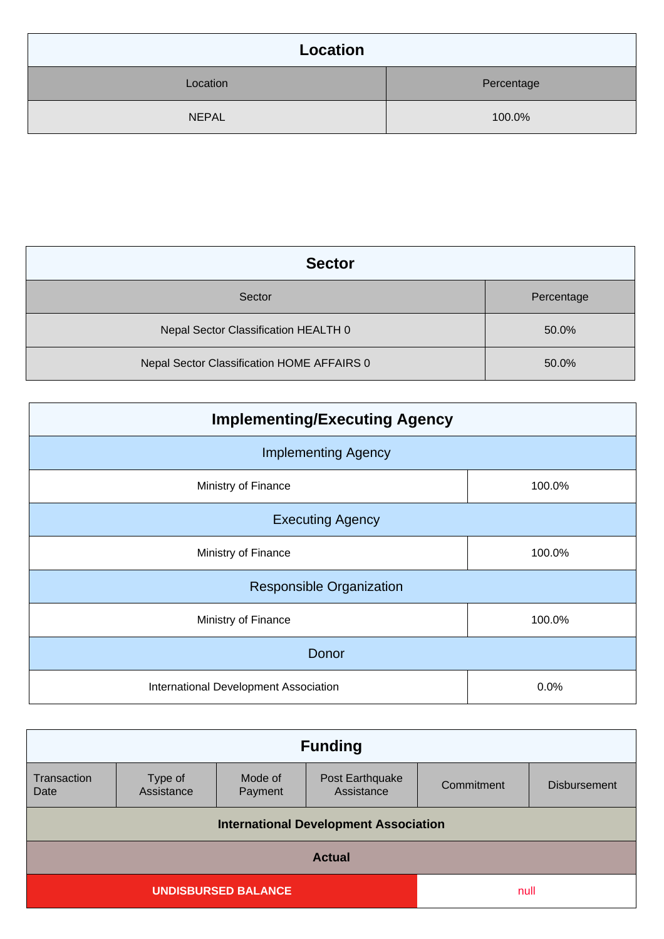| Location     |            |
|--------------|------------|
| Location     | Percentage |
| <b>NEPAL</b> | 100.0%     |

| <b>Sector</b>                              |            |
|--------------------------------------------|------------|
| Sector                                     | Percentage |
| Nepal Sector Classification HEALTH 0       | 50.0%      |
| Nepal Sector Classification HOME AFFAIRS 0 | 50.0%      |

| <b>Implementing/Executing Agency</b>  |        |  |
|---------------------------------------|--------|--|
| <b>Implementing Agency</b>            |        |  |
| Ministry of Finance                   | 100.0% |  |
| <b>Executing Agency</b>               |        |  |
| Ministry of Finance                   | 100.0% |  |
| <b>Responsible Organization</b>       |        |  |
| Ministry of Finance                   | 100.0% |  |
| Donor                                 |        |  |
| International Development Association | 0.0%   |  |

| <b>Funding</b>                               |                       |                    |                               |            |                     |
|----------------------------------------------|-----------------------|--------------------|-------------------------------|------------|---------------------|
| Transaction<br>Date                          | Type of<br>Assistance | Mode of<br>Payment | Post Earthquake<br>Assistance | Commitment | <b>Disbursement</b> |
| <b>International Development Association</b> |                       |                    |                               |            |                     |
| <b>Actual</b>                                |                       |                    |                               |            |                     |
| <b>UNDISBURSED BALANCE</b>                   |                       |                    | null                          |            |                     |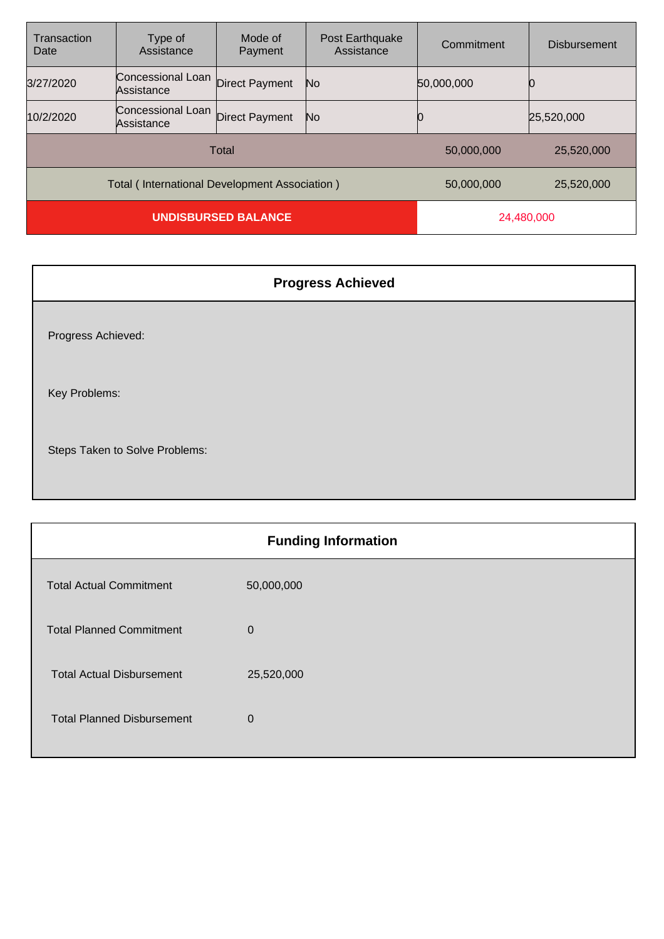| Transaction<br>Date                           | Type of<br>Assistance           | Mode of<br>Payment    | Post Earthquake<br>Assistance | Commitment | <b>Disbursement</b> |
|-----------------------------------------------|---------------------------------|-----------------------|-------------------------------|------------|---------------------|
| 3/27/2020                                     | Concessional Loan<br>Assistance | <b>Direct Payment</b> | No                            | 50,000,000 |                     |
| 10/2/2020                                     | Concessional Loan<br>Assistance | Direct Payment        | No.                           |            | 25,520,000          |
| Total                                         |                                 |                       | 50,000,000                    | 25,520,000 |                     |
| Total (International Development Association) |                                 |                       | 50,000,000                    | 25,520,000 |                     |
| <b>UNDISBURSED BALANCE</b>                    |                                 |                       | 24,480,000                    |            |                     |

| <b>Progress Achieved</b>       |
|--------------------------------|
| Progress Achieved:             |
| Key Problems:                  |
| Steps Taken to Solve Problems: |

| <b>Funding Information</b>        |            |  |
|-----------------------------------|------------|--|
| <b>Total Actual Commitment</b>    | 50,000,000 |  |
| <b>Total Planned Commitment</b>   | 0          |  |
| <b>Total Actual Disbursement</b>  | 25,520,000 |  |
| <b>Total Planned Disbursement</b> | 0          |  |